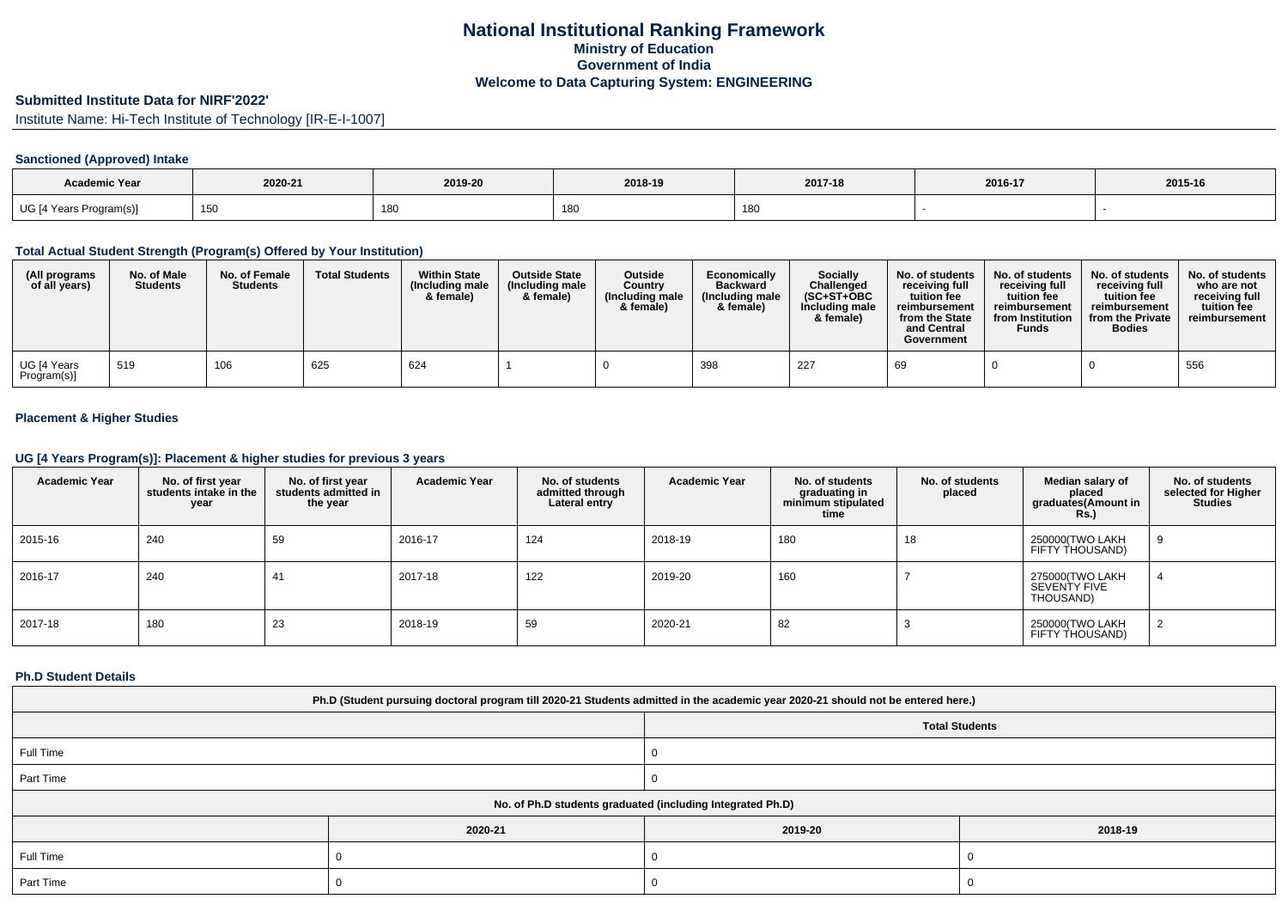# **National Institutional Ranking FrameworkMinistry of Education Government of IndiaWelcome to Data Capturing System: ENGINEERING**

# **Submitted Institute Data for NIRF'2022'**

Institute Name: Hi-Tech Institute of Technology [IR-E-I-1007]

## **Sanctioned (Approved) Intake**

| <b>Academic Year</b>    | 2020-21    | 2019-20 | 2018-19 | 2017-18 | 2016-17 | 2015-16 |
|-------------------------|------------|---------|---------|---------|---------|---------|
| UG [4 Years Program(s)] | 150<br>טטו | 180     | 180     | 180     |         |         |

#### **Total Actual Student Strength (Program(s) Offered by Your Institution)**

| (All programs<br>of all years) | No. of Male<br><b>Students</b> | No. of Female<br><b>Students</b> | <b>Total Students</b> | <b>Within State</b><br>(Including male<br>& female) | <b>Outside State</b><br>(Including male<br>& female) | <b>Outside</b><br>Country<br>(Including male<br>& female) | Economically<br><b>Backward</b><br>(Including male<br>& female) | Socially<br>Challenged<br>$(SC+ST+OBC$<br>Including male<br>& female) | No. of students<br>receiving full<br>tuition fee<br>reimbursement<br>from the State<br>and Central<br>Government | No. of students<br>receiving full<br>tuition fee<br>reimbursement<br>from Institution<br><b>Funds</b> | No. of students<br>receiving full<br>tuition fee<br>reimbursement<br>from the Private<br><b>Bodies</b> | No. of students<br>who are not<br>receiving full<br>tuition fee<br>reimbursement |
|--------------------------------|--------------------------------|----------------------------------|-----------------------|-----------------------------------------------------|------------------------------------------------------|-----------------------------------------------------------|-----------------------------------------------------------------|-----------------------------------------------------------------------|------------------------------------------------------------------------------------------------------------------|-------------------------------------------------------------------------------------------------------|--------------------------------------------------------------------------------------------------------|----------------------------------------------------------------------------------|
| UG [4 Years<br>Program(s)]     | 519                            | 106                              | 625                   | 624                                                 |                                                      |                                                           | 398                                                             | 227                                                                   | 69                                                                                                               |                                                                                                       |                                                                                                        | 556                                                                              |

## **Placement & Higher Studies**

#### **UG [4 Years Program(s)]: Placement & higher studies for previous 3 years**

| <b>Academic Year</b> | No. of first year<br>students intake in the<br>year | No. of first year<br>students admitted in<br>the year | <b>Academic Year</b> | No. of students<br>admitted through<br>Lateral entry | <b>Academic Year</b> | No. of students<br>graduating in<br>minimum stipulated<br>time | No. of students<br>placed | Median salary of<br>placed<br>graduates(Amount in<br>Rs.) | No. of students<br>selected for Higher<br><b>Studies</b> |
|----------------------|-----------------------------------------------------|-------------------------------------------------------|----------------------|------------------------------------------------------|----------------------|----------------------------------------------------------------|---------------------------|-----------------------------------------------------------|----------------------------------------------------------|
| 2015-16              | 240                                                 | 59                                                    | 2016-17              | 124                                                  | 2018-19              | 180                                                            | 18                        | 250000(TWO LAKH<br>FIFTY THOUSAND)                        |                                                          |
| 2016-17              | 240                                                 | 41                                                    | 2017-18              | 122                                                  | 2019-20              | 160                                                            |                           | 275000(TWO LAKH<br>SEVENTY FIVE<br>THOUSAND)              |                                                          |
| 2017-18              | 180                                                 | 23                                                    | 2018-19              | 59                                                   | 2020-21              | 82                                                             |                           | 250000(TWO LAKH<br>FIFTY THOUSAND)                        |                                                          |

#### **Ph.D Student Details**

| Ph.D (Student pursuing doctoral program till 2020-21 Students admitted in the academic year 2020-21 should not be entered here.) |         |         |         |  |  |  |  |
|----------------------------------------------------------------------------------------------------------------------------------|---------|---------|---------|--|--|--|--|
| <b>Total Students</b>                                                                                                            |         |         |         |  |  |  |  |
| Full Time                                                                                                                        |         |         |         |  |  |  |  |
| Part Time                                                                                                                        |         |         |         |  |  |  |  |
| No. of Ph.D students graduated (including Integrated Ph.D)                                                                       |         |         |         |  |  |  |  |
|                                                                                                                                  | 2020-21 | 2019-20 | 2018-19 |  |  |  |  |
| Full Time                                                                                                                        |         |         |         |  |  |  |  |
| Part Time                                                                                                                        |         |         |         |  |  |  |  |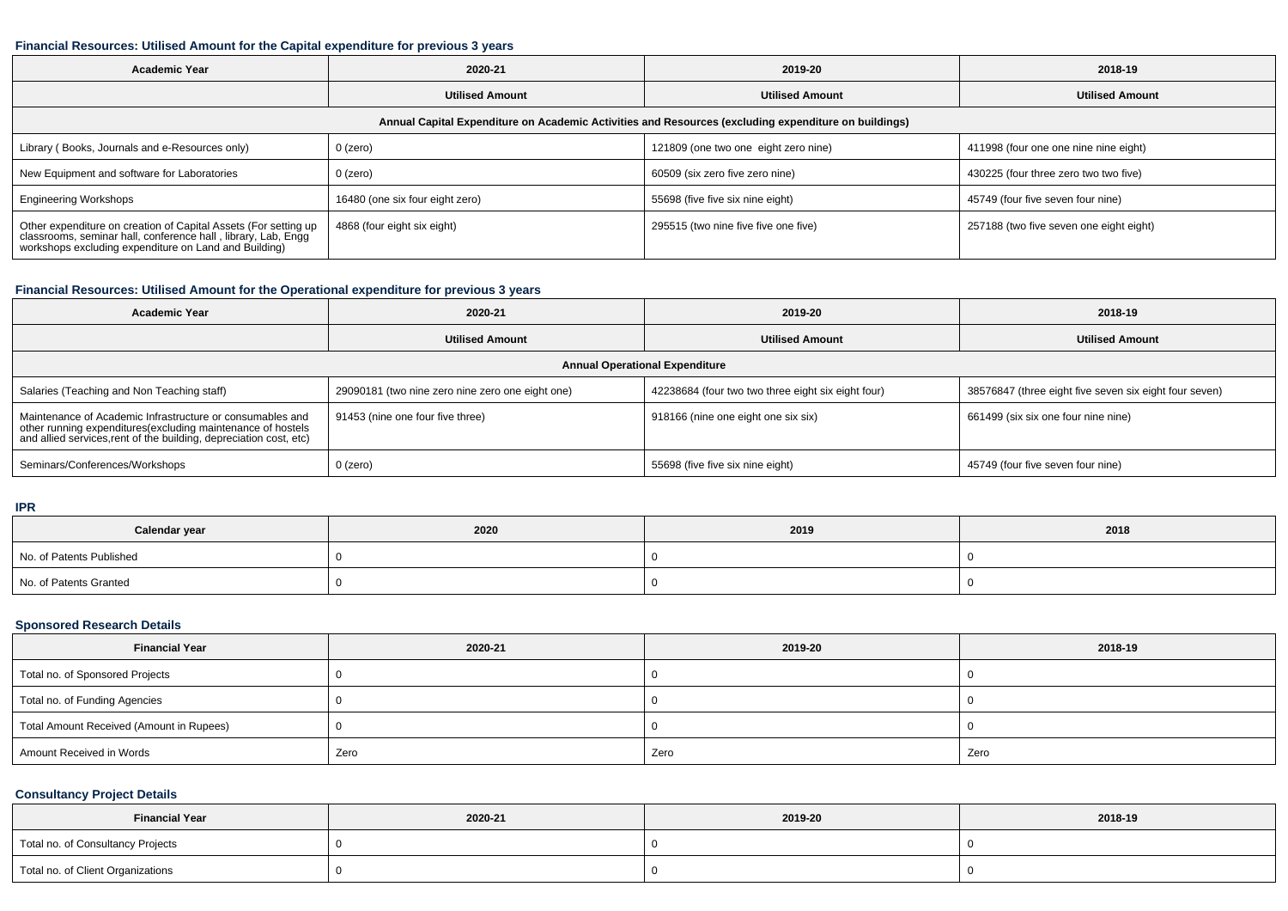## **Financial Resources: Utilised Amount for the Capital expenditure for previous 3 years**

| <b>Academic Year</b><br>2020-21                                                                                                                                                           |                                                  | 2019-20                              | 2018-19                                 |  |  |  |  |  |
|-------------------------------------------------------------------------------------------------------------------------------------------------------------------------------------------|--------------------------------------------------|--------------------------------------|-----------------------------------------|--|--|--|--|--|
|                                                                                                                                                                                           | <b>Utilised Amount</b><br><b>Utilised Amount</b> |                                      | <b>Utilised Amount</b>                  |  |  |  |  |  |
| Annual Capital Expenditure on Academic Activities and Resources (excluding expenditure on buildings)                                                                                      |                                                  |                                      |                                         |  |  |  |  |  |
| Library (Books, Journals and e-Resources only)                                                                                                                                            | 0 (zero)                                         | 121809 (one two one eight zero nine) | 411998 (four one one nine nine eight)   |  |  |  |  |  |
| New Equipment and software for Laboratories                                                                                                                                               | 0 (zero)                                         | 60509 (six zero five zero nine)      | 430225 (four three zero two two five)   |  |  |  |  |  |
| <b>Engineering Workshops</b>                                                                                                                                                              | 16480 (one six four eight zero)                  | 55698 (five five six nine eight)     | 45749 (four five seven four nine)       |  |  |  |  |  |
| Other expenditure on creation of Capital Assets (For setting up<br>classrooms, seminar hall, conference hall, library, Lab, Engg<br>workshops excluding expenditure on Land and Building) | 4868 (four eight six eight)                      | 295515 (two nine five five one five) | 257188 (two five seven one eight eight) |  |  |  |  |  |

# **Financial Resources: Utilised Amount for the Operational expenditure for previous 3 years**

| <b>Academic Year</b>                                                                                                                                                                          | 2020-21                                          | 2019-20                                            | 2018-19                                                |  |  |  |  |  |
|-----------------------------------------------------------------------------------------------------------------------------------------------------------------------------------------------|--------------------------------------------------|----------------------------------------------------|--------------------------------------------------------|--|--|--|--|--|
|                                                                                                                                                                                               | <b>Utilised Amount</b>                           | <b>Utilised Amount</b>                             | <b>Utilised Amount</b>                                 |  |  |  |  |  |
| <b>Annual Operational Expenditure</b>                                                                                                                                                         |                                                  |                                                    |                                                        |  |  |  |  |  |
| Salaries (Teaching and Non Teaching staff)                                                                                                                                                    | 29090181 (two nine zero nine zero one eight one) | 42238684 (four two two three eight six eight four) | 38576847 (three eight five seven six eight four seven) |  |  |  |  |  |
| Maintenance of Academic Infrastructure or consumables and<br>other running expenditures(excluding maintenance of hostels<br>and allied services,rent of the building, depreciation cost, etc) | 91453 (nine one four five three)                 | 918166 (nine one eight one six six)                | 661499 (six six one four nine nine)                    |  |  |  |  |  |
| Seminars/Conferences/Workshops                                                                                                                                                                | $0$ (zero)                                       | 55698 (five five six nine eight)                   | 45749 (four five seven four nine)                      |  |  |  |  |  |

#### **IPR**

| Calendar year            | 2020 | 2019 | 2018 |  |
|--------------------------|------|------|------|--|
| No. of Patents Published |      |      |      |  |
| No. of Patents Granted   |      |      |      |  |

## **Sponsored Research Details**

| <b>Financial Year</b>                    | 2020-21 | 2019-20 | 2018-19 |
|------------------------------------------|---------|---------|---------|
| Total no. of Sponsored Projects          |         |         |         |
| Total no. of Funding Agencies            |         |         |         |
| Total Amount Received (Amount in Rupees) |         |         |         |
| Amount Received in Words                 | Zero    | Zero    | Zero    |

## **Consultancy Project Details**

| <b>Financial Year</b>             | 2020-21 | 2019-20 | 2018-19 |
|-----------------------------------|---------|---------|---------|
| Total no. of Consultancy Projects |         |         |         |
| Total no. of Client Organizations |         |         |         |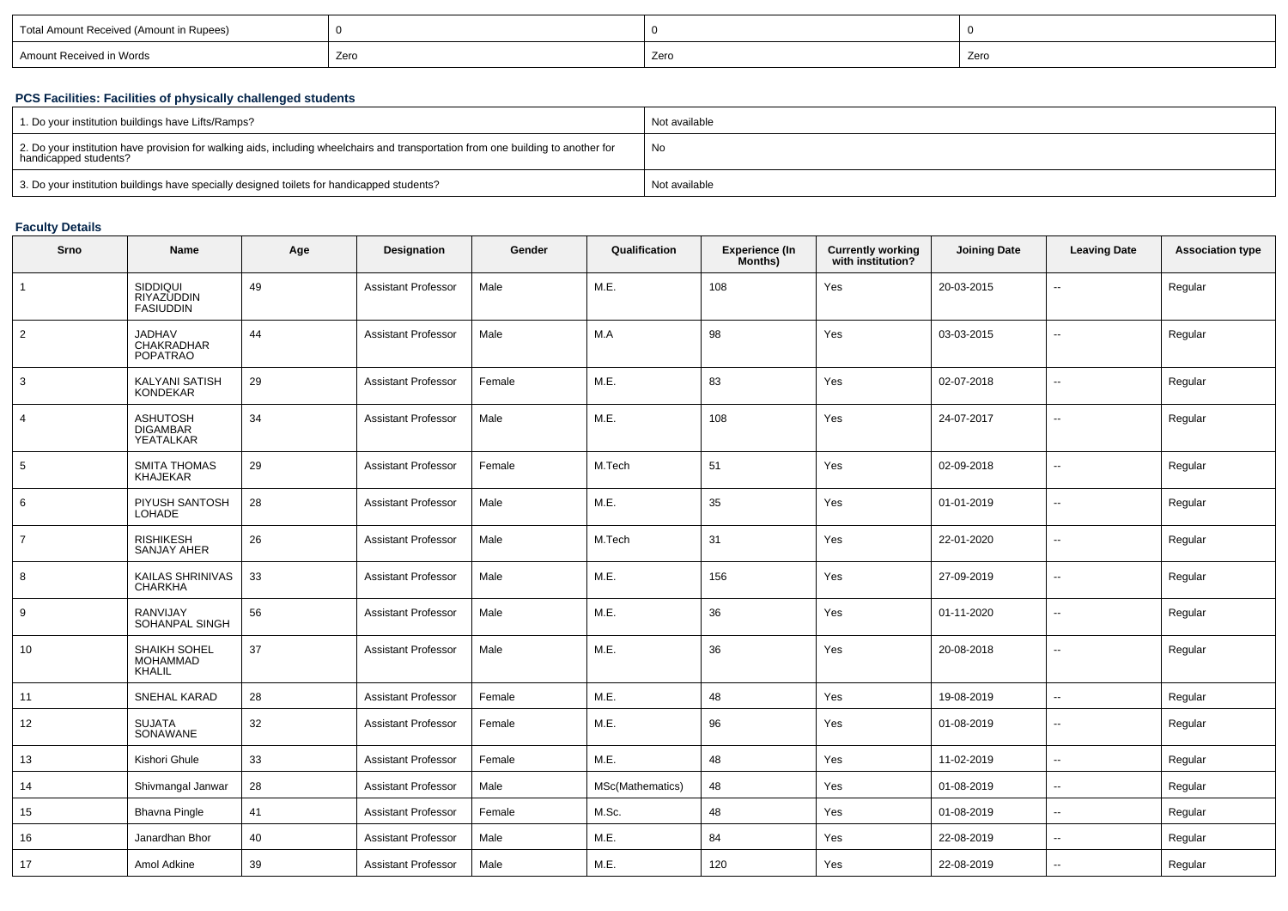| Total Amount Received (Amount in Rupees) |      |      |      |
|------------------------------------------|------|------|------|
| Amount Received in Words                 | Zero | Zero | Zerc |
|                                          |      |      |      |

## **PCS Facilities: Facilities of physically challenged students**

| 1. Do your institution buildings have Lifts/Ramps?                                                                                                         | Not available |
|------------------------------------------------------------------------------------------------------------------------------------------------------------|---------------|
| 2. Do your institution have provision for walking aids, including wheelchairs and transportation from one building to another for<br>handicapped students? | No            |
| 3. Do your institution buildings have specially designed toilets for handicapped students?                                                                 | Not available |

## **Faculty Details**

| Srno           | <b>Name</b>                                     | Age | Designation                | Gender | Qualification    | <b>Experience (In</b><br>Months) | <b>Currently working</b><br>with institution? | <b>Joining Date</b> | <b>Leaving Date</b>      | <b>Association type</b> |
|----------------|-------------------------------------------------|-----|----------------------------|--------|------------------|----------------------------------|-----------------------------------------------|---------------------|--------------------------|-------------------------|
| $\mathbf{1}$   | SIDDIQUI<br>RIYAZUDDIN<br><b>FASIUDDIN</b>      | 49  | <b>Assistant Professor</b> | Male   | M.E.             | 108                              | Yes                                           | 20-03-2015          | $\overline{\phantom{a}}$ | Regular                 |
| $\overline{2}$ | <b>JADHAV</b><br>CHAKRADHAR<br><b>POPATRAO</b>  | 44  | <b>Assistant Professor</b> | Male   | M.A              | 98                               | Yes                                           | 03-03-2015          | $\overline{\phantom{a}}$ | Regular                 |
| 3              | KALYANI SATISH<br><b>KONDEKAR</b>               | 29  | <b>Assistant Professor</b> | Female | M.E.             | 83                               | Yes                                           | 02-07-2018          | $\overline{\phantom{a}}$ | Regular                 |
| $\overline{4}$ | <b>ASHUTOSH</b><br><b>DIGAMBAR</b><br>YEATALKAR | 34  | Assistant Professor        | Male   | M.E.             | 108                              | Yes                                           | 24-07-2017          | $\overline{\phantom{a}}$ | Regular                 |
| 5              | <b>SMITA THOMAS</b><br><b>KHAJEKAR</b>          | 29  | <b>Assistant Professor</b> | Female | M.Tech           | 51                               | Yes                                           | 02-09-2018          | $\overline{\phantom{a}}$ | Regular                 |
| 6              | PIYUSH SANTOSH<br><b>LOHADE</b>                 | 28  | <b>Assistant Professor</b> | Male   | M.E.             | 35                               | Yes                                           | 01-01-2019          | $\mathbf{u}$             | Regular                 |
| 7              | <b>RISHIKESH</b><br><b>SANJAY AHER</b>          | 26  | Assistant Professor        | Male   | M.Tech           | 31                               | Yes                                           | 22-01-2020          | $\sim$                   | Regular                 |
| 8              | KAILAS SHRINIVAS<br>CHARKHA                     | 33  | <b>Assistant Professor</b> | Male   | M.E.             | 156                              | Yes                                           | 27-09-2019          | $\overline{\phantom{a}}$ | Regular                 |
| 9              | <b>RANVIJAY</b><br>SOHANPAL SINGH               | 56  | <b>Assistant Professor</b> | Male   | M.E.             | 36                               | Yes                                           | 01-11-2020          | $\overline{\phantom{a}}$ | Regular                 |
| 10             | SHAIKH SOHEL<br><b>MOHAMMAD</b><br>KHALIL       | 37  | <b>Assistant Professor</b> | Male   | M.E.             | 36                               | Yes                                           | 20-08-2018          | $\overline{\phantom{a}}$ | Regular                 |
| 11             | <b>SNEHAL KARAD</b>                             | 28  | <b>Assistant Professor</b> | Female | M.E.             | 48                               | Yes                                           | 19-08-2019          | $\overline{\phantom{a}}$ | Regular                 |
| 12             | <b>SUJATA</b><br>SONAWANE                       | 32  | <b>Assistant Professor</b> | Female | M.E.             | 96                               | Yes                                           | 01-08-2019          | $\overline{\phantom{a}}$ | Regular                 |
| 13             | Kishori Ghule                                   | 33  | <b>Assistant Professor</b> | Female | M.E.             | 48                               | Yes                                           | 11-02-2019          | $\overline{\phantom{a}}$ | Regular                 |
| 14             | Shivmangal Janwar                               | 28  | <b>Assistant Professor</b> | Male   | MSc(Mathematics) | 48                               | Yes                                           | 01-08-2019          | $\overline{\phantom{a}}$ | Regular                 |
| 15             | <b>Bhavna Pingle</b>                            | 41  | <b>Assistant Professor</b> | Female | M.Sc.            | 48                               | Yes                                           | 01-08-2019          | $\sim$                   | Regular                 |
| 16             | Janardhan Bhor                                  | 40  | <b>Assistant Professor</b> | Male   | M.E.             | 84                               | Yes                                           | 22-08-2019          | $\overline{\phantom{a}}$ | Regular                 |
| 17             | Amol Adkine                                     | 39  | <b>Assistant Professor</b> | Male   | M.E.             | 120                              | Yes                                           | 22-08-2019          | $\overline{\phantom{a}}$ | Regular                 |